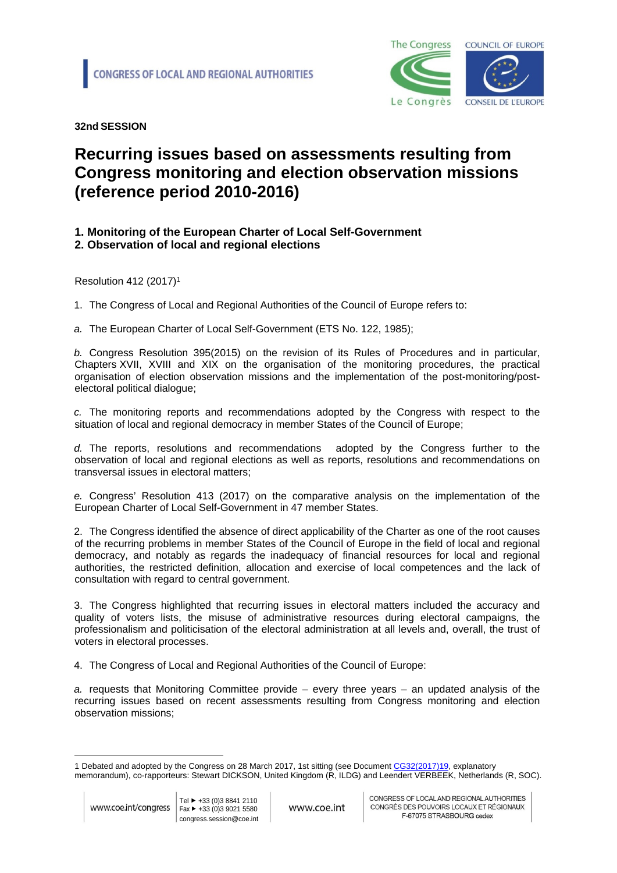

**32nd SESSION** 

## **Recurring issues based on assessments resulting from Congress monitoring and election observation missions (reference period 2010-2016)**

## **1. Monitoring of the European Charter of Local Self-Government**

**2. Observation of local and regional elections**

Resolution 412 (2017)<sup>1</sup>

1. The Congress of Local and Regional Authorities of the Council of Europe refers to:

*a.* The European Charter of Local Self-Government (ETS No. 122, 1985);

*b.* Congress Resolution 395(2015) on the revision of its Rules of Procedures and in particular, Chapters XVII, XVIII and XIX on the organisation of the monitoring procedures, the practical organisation of election observation missions and the implementation of the post-monitoring/postelectoral political dialogue;

*c.* The monitoring reports and recommendations adopted by the Congress with respect to the situation of local and regional democracy in member States of the Council of Europe;

*d.* The reports, resolutions and recommendations adopted by the Congress further to the observation of local and regional elections as well as reports, resolutions and recommendations on transversal issues in electoral matters;

*e.* Congress' Resolution 413 (2017) on the comparative analysis on the implementation of the European Charter of Local Self-Government in 47 member States.

2. The Congress identified the absence of direct applicability of the Charter as one of the root causes of the recurring problems in member States of the Council of Europe in the field of local and regional democracy, and notably as regards the inadequacy of financial resources for local and regional authorities, the restricted definition, allocation and exercise of local competences and the lack of consultation with regard to central government.

3. The Congress highlighted that recurring issues in electoral matters included the accuracy and quality of voters lists, the misuse of administrative resources during electoral campaigns, the professionalism and politicisation of the electoral administration at all levels and, overall, the trust of voters in electoral processes.

4. The Congress of Local and Regional Authorities of the Council of Europe:

*a.* requests that Monitoring Committee provide – every three years – an updated analysis of the recurring issues based on recent assessments resulting from Congress monitoring and election observation missions;

<sup>1</sup> Debated and adopted by the Congress on 28 March 2017, 1st sitting (see Document CG32([2017](http://rm.coe.int/doc/09000016806fb9a8))19, explanatory memorandum), co-rapporteurs: Stewart DICKSON, United Kingdom (R, ILDG) and Leendert VERBEEK, Netherlands (R, SOC).